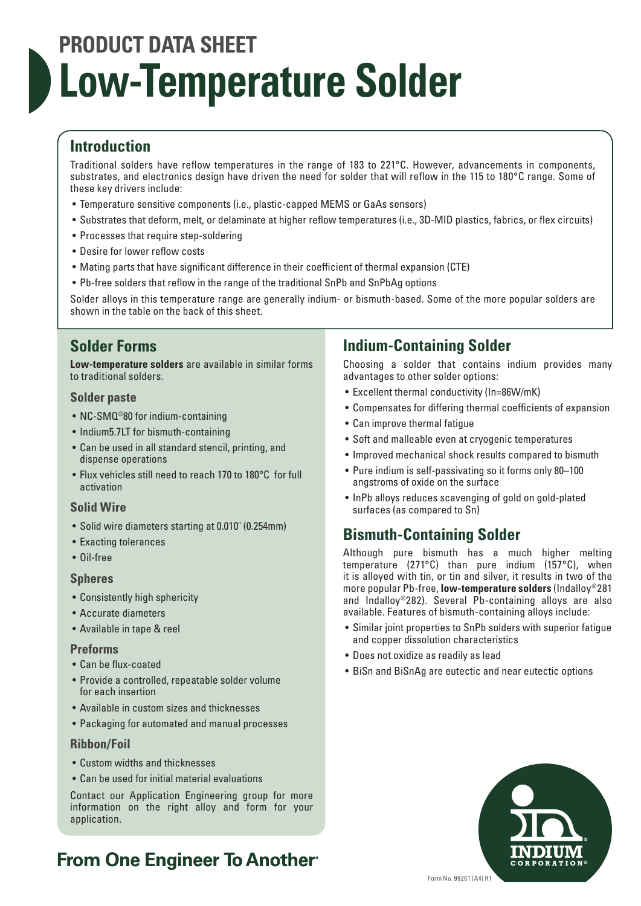# **PRODUCT DATA SHEET Low-Temperature Solder**

# **Introduction**

Traditional solders have reflow temperatures in the range of 183 to 221°C. However, advancements in components, substrates, and electronics design have driven the need for solder that will reflow in the 115 to 180°C range. Some of these key drivers include:

- Temperature sensitive components (i.e., plastic-capped MEMS or GaAs sensors)
- Substrates that deform, melt, or delaminate at higher reflow temperatures (i.e., 3D-MID plastics, fabrics, or flex circuits)
- Processes that require step-soldering
- Desire for lower reflow costs
- Mating parts that have significant difference in their coefficient of thermal expansion (CTE)
- Pb-free solders that reflow in the range of the traditional SnPb and SnPbAg options

Solder alloys in this temperature range are generally indium- or bismuth-based. Some of the more popular solders are shown in the table on the back of this sheet.

## **Solder Forms**

**Low-temperature solders** are available in similar forms to traditional solders.

#### **Solder paste**

- NC-SMQ<sup>®</sup>80 for indium-containing
- Indium5.7LT for bismuth-containing
- Can be used in all standard stencil, printing, and dispense operations
- Flux vehicles still need to reach 170 to 180°C for full activation

## **Solid Wire**

- Solid wire diameters starting at 0.010" (0.254mm)
- Exacting tolerances
- Oil-free

## **Spheres**

- Consistently high sphericity
- Accurate diameters
- Available in tape & reel

#### **Preforms**

- Can be flux-coated
- Provide a controlled, repeatable solder volume for each insertion
- Available in custom sizes and thicknesses
- Packaging for automated and manual processes

## **Ribbon/Foil**

- Custom widths and thicknesses
- Can be used for initial material evaluations

Contact our Application Engineering group for more information on the right alloy and form for your application.

# **From One Engineer To Another**

## **Indium-Containing Solder**

Choosing a solder that contains indium provides many advantages to other solder options:

- Excellent thermal conductivity (In=86W/mK)
- Compensates for differing thermal coefficients of expansion
- Can improve thermal fatigue
- Soft and malleable even at cryogenic temperatures
- Improved mechanical shock results compared to bismuth
- Pure indium is self-passivating so it forms only 80–100 angstroms of oxide on the surface
- InPb alloys reduces scavenging of gold on gold-plated surfaces (as compared to Sn)

# **Bismuth-Containing Solder**

Although pure bismuth has a much higher melting temperature (271°C) than pure indium (157°C), when it is alloyed with tin, or tin and silver, it results in two of the more popular Pb-free, **low-temperature solders** (Indalloy®281 and Indalloy®282). Several Pb-containing alloys are also available. Features of bismuth-containing alloys include:

- Similar joint properties to SnPb solders with superior fatigue and copper dissolution characteristics
- Does not oxidize as readily as lead
- BiSn and BiSnAg are eutectic and near eutectic options